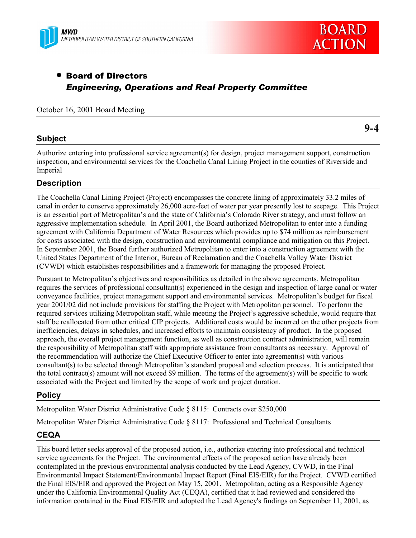



**9-4**

# • Board of Directors *Engineering, Operations and Real Property Committee*

#### October 16, 2001 Board Meeting

# **Subject**

Authorize entering into professional service agreement(s) for design, project management support, construction inspection, and environmental services for the Coachella Canal Lining Project in the counties of Riverside and Imperial

# **Description**

The Coachella Canal Lining Project (Project) encompasses the concrete lining of approximately 33.2 miles of canal in order to conserve approximately 26,000 acre-feet of water per year presently lost to seepage. This Project is an essential part of Metropolitan's and the state of California's Colorado River strategy, and must follow an aggressive implementation schedule. In April 2001, the Board authorized Metropolitan to enter into a funding agreement with California Department of Water Resources which provides up to \$74 million as reimbursement for costs associated with the design, construction and environmental compliance and mitigation on this Project. In September 2001, the Board further authorized Metropolitan to enter into a construction agreement with the United States Department of the Interior, Bureau of Reclamation and the Coachella Valley Water District (CVWD) which establishes responsibilities and a framework for managing the proposed Project.

Pursuant to Metropolitan's objectives and responsibilities as detailed in the above agreements, Metropolitan requires the services of professional consultant(s) experienced in the design and inspection of large canal or water conveyance facilities, project management support and environmental services. Metropolitanís budget for fiscal year 2001/02 did not include provisions for staffing the Project with Metropolitan personnel. To perform the required services utilizing Metropolitan staff, while meeting the Projectís aggressive schedule, would require that staff be reallocated from other critical CIP projects. Additional costs would be incurred on the other projects from inefficiencies, delays in schedules, and increased efforts to maintain consistency of product. In the proposed approach, the overall project management function, as well as construction contract administration, will remain the responsibility of Metropolitan staff with appropriate assistance from consultants as necessary. Approval of the recommendation will authorize the Chief Executive Officer to enter into agreement(s) with various consultant(s) to be selected through Metropolitanís standard proposal and selection process. It is anticipated that the total contract(s) amount will not exceed \$9 million. The terms of the agreement(s) will be specific to work associated with the Project and limited by the scope of work and project duration.

# **Policy**

Metropolitan Water District Administrative Code ß 8115: Contracts over \$250,000

Metropolitan Water District Administrative Code ß 8117: Professional and Technical Consultants

### **CEQA**

This board letter seeks approval of the proposed action, i.e., authorize entering into professional and technical service agreements for the Project. The environmental effects of the proposed action have already been contemplated in the previous environmental analysis conducted by the Lead Agency, CVWD, in the Final Environmental Impact Statement/Environmental Impact Report (Final EIS/EIR) for the Project. CVWD certified the Final EIS/EIR and approved the Project on May 15, 2001. Metropolitan, acting as a Responsible Agency under the California Environmental Quality Act (CEQA), certified that it had reviewed and considered the information contained in the Final EIS/EIR and adopted the Lead Agency's findings on September 11, 2001, as